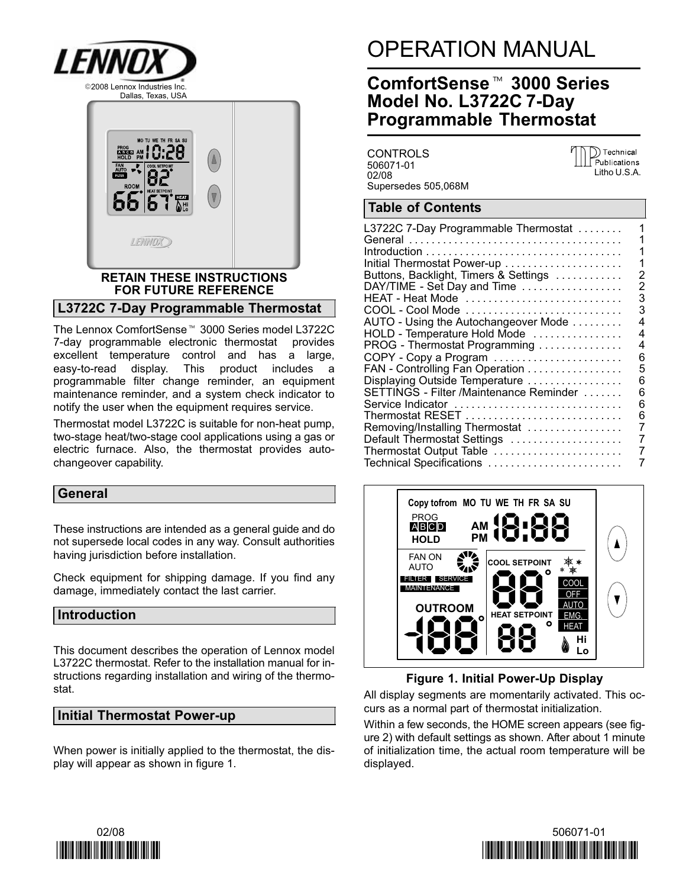

#### L3722C 7−Day Programmable Thermostat

The Lennox ComfortSense- 3000 Series model L3722C 7-day programmable electronic thermostat provides excellent temperature control and has a large, easy-to-read display. This product includes a programmable filter change reminder, an equipment maintenance reminder, and a system check indicator to notify the user when the equipment requires service.

Thermostat model L3722C is suitable for non-heat pump, two-stage heat/two-stage cool applications using a gas or electric furnace. Also, the thermostat provides autochangeover capability.

#### General

These instructions are intended as a general guide and do not supersede local codes in any way. Consult authorities having jurisdiction before installation.

Check equipment for shipping damage. If you find any damage, immediately contact the last carrier.

#### Introduction

This document describes the operation of Lennox model L3722C thermostat. Refer to the installation manual for instructions regarding installation and wiring of the thermostat.

#### Initial Thermostat Power-up

When power is initially applied to the thermostat, the display will appear as shown in figure 1.

## OPERATION MANUAL

## ComfortSense<sup>™</sup> 3000 Series Model No. L3722C 7-Day Programmable Thermostat

CONTROLS 506071−01 02/08 Supersedes 505,068M D) Technical Publications Litho U.S.A.

#### Table of Contents

| L3722C 7-Day Programmable Thermostat    | 1 |
|-----------------------------------------|---|
|                                         | 1 |
|                                         | 1 |
|                                         | 1 |
| Buttons, Backlight, Timers & Settings   | 2 |
| DAY/TIME - Set Day and Time             | 2 |
| HEAT - Heat Mode                        | 3 |
| COOL - Cool Mode                        | 3 |
| AUTO - Using the Autochangeover Mode    | 4 |
| HOLD - Temperature Hold Mode            | 4 |
| PROG - Thermostat Programming           | 4 |
| COPY - Copy a Program                   | 6 |
| FAN - Controlling Fan Operation         | 5 |
| Displaying Outside Temperature          | 6 |
| SETTINGS - Filter /Maintenance Reminder | 6 |
| Service Indicator                       | 6 |
| Thermostat RESET                        | 6 |
| Removing/Installing Thermostat          | 7 |
| Default Thermostat Settings             | 7 |
| Thermostat Output Table                 | 7 |
| Technical Specifications                | 7 |
|                                         |   |



#### Figure 1. Initial Power−Up Display

All display segments are momentarily activated. This occurs as a normal part of thermostat initialization.

Within a few seconds, the HOME screen appears (see figure [2](#page-1-0)) with default settings as shown. After about 1 minute of initialization time, the actual room temperature will be displayed.



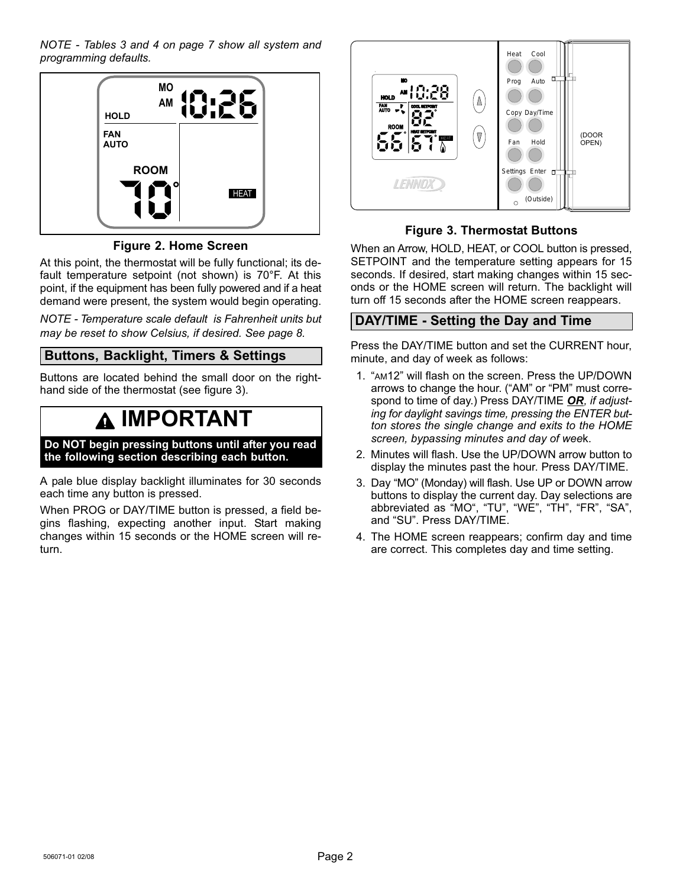<span id="page-1-0"></span>NOTE − Tables [3](#page-6-0) and [4](#page-6-0) on page [7](#page-6-0) show all system and programming defaults.



Figure 2. Home Screen

At this point, the thermostat will be fully functional; its default temperature setpoint (not shown) is 70°F. At this point, if the equipment has been fully powered and if a heat demand were present, the system would begin operating.

NOTE − Temperature scale default is Fahrenheit units but may be reset to show Celsius, if desired. See page [8.](#page-7-0)

## Buttons, Backlight, Timers & Settings

Buttons are located behind the small door on the right− hand side of the thermostat (see figure 3).

## IMPORTANT

Do NOT begin pressing buttons until after you read the following section describing each button.

A pale blue display backlight illuminates for 30 seconds each time any button is pressed.

When PROG or DAY/TIME button is pressed, a field begins flashing, expecting another input. Start making changes within 15 seconds or the HOME screen will return.



#### Figure 3. Thermostat Buttons

When an Arrow, HOLD, HEAT, or COOL button is pressed, SETPOINT and the temperature setting appears for 15 seconds. If desired, start making changes within 15 seconds or the HOME screen will return. The backlight will turn off 15 seconds after the HOME screen reappears.

#### DAY/TIME - Setting the Day and Time

Press the DAY/TIME button and set the CURRENT hour, minute, and day of week as follows:

- 1. "AM12" will flash on the screen. Press the UP/DOWN arrows to change the hour. ("AM" or "PM" must correspond to time of day.) Press DAY/TIME OR, if adjusting for daylight savings time, pressing the ENTER button stores the single change and exits to the HOME screen, bypassing minutes and day of week.
- 2. Minutes will flash. Use the UP/DOWN arrow button to display the minutes past the hour. Press DAY/TIME.
- 3. Day "MO" (Monday) will flash. Use UP or DOWN arrow buttons to display the current day. Day selections are abbreviated as "MO", "TU", "WE", "TH", "FR", "SA", and "SU". Press DAY/TIME.
- 4. The HOME screen reappears; confirm day and time are correct. This completes day and time setting.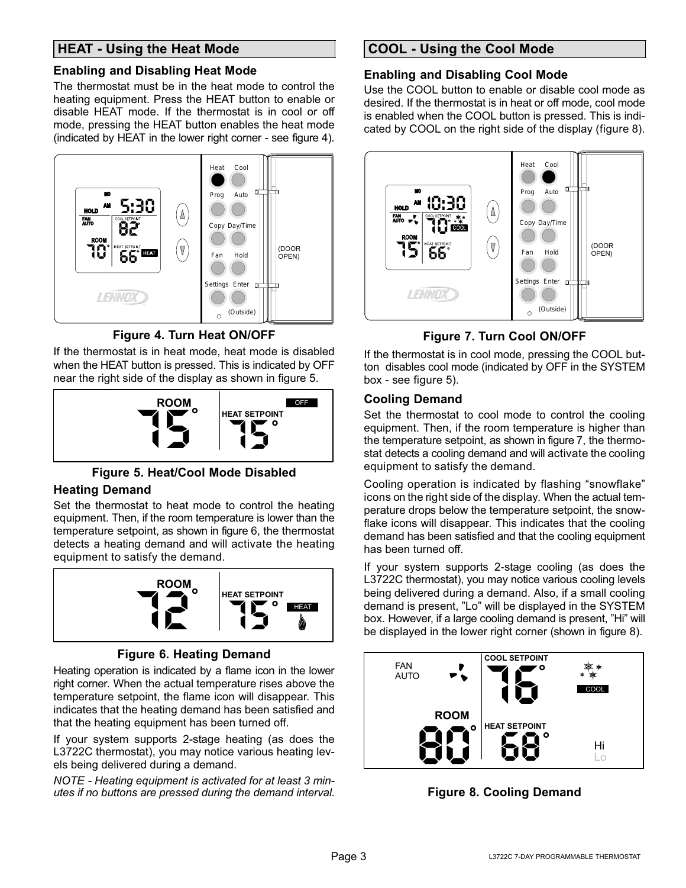## <span id="page-2-0"></span>HEAT - Using the Heat Mode

#### Enabling and Disabling Heat Mode

The thermostat must be in the heat mode to control the heating equipment. Press the HEAT button to enable or disable HEAT mode. If the thermostat is in cool or off mode, pressing the HEAT button enables the heat mode (indicated by HEAT in the lower right corner − see figure 4).



Figure 4. Turn Heat ON/OFF

If the thermostat is in heat mode, heat mode is disabled when the HEAT button is pressed. This is indicated by OFF near the right side of the display as shown in figure 5.



#### Figure 5. Heat/Cool Mode Disabled

#### Heating Demand

Set the thermostat to heat mode to control the heating equipment. Then, if the room temperature is lower than the temperature setpoint, as shown in figure 6, the thermostat detects a heating demand and will activate the heating equipment to satisfy the demand.



## Figure 6. Heating Demand

Heating operation is indicated by a flame icon in the lower right corner. When the actual temperature rises above the temperature setpoint, the flame icon will disappear. This indicates that the heating demand has been satisfied and that the heating equipment has been turned off.

If your system supports 2−stage heating (as does the L3722C thermostat), you may notice various heating levels being delivered during a demand.

NOTE − Heating equipment is activated for at least 3 minutes if no buttons are pressed during the demand interval.

## COOL − Using the Cool Mode

#### Enabling and Disabling Cool Mode

Use the COOL button to enable or disable cool mode as desired. If the thermostat is in heat or off mode, cool mode is enabled when the COOL button is pressed. This is indicated by COOL on the right side of the display (figure 8).



## Figure 7. Turn Cool ON/OFF

If the thermostat is in cool mode, pressing the COOL button disables cool mode (indicated by OFF in the SYSTEM box − see figure 5).

#### Cooling Demand

Set the thermostat to cool mode to control the cooling equipment. Then, if the room temperature is higher than the temperature setpoint, as shown in figure 7, the thermostat detects a cooling demand and will activate the cooling equipment to satisfy the demand.

Cooling operation is indicated by flashing "snowflake" icons on the right side of the display. When the actual temperature drops below the temperature setpoint, the snowflake icons will disappear. This indicates that the cooling demand has been satisfied and that the cooling equipment has been turned off.

If your system supports 2−stage cooling (as does the L3722C thermostat), you may notice various cooling levels being delivered during a demand. Also, if a small cooling demand is present, "Lo" will be displayed in the SYSTEM box. However, if a large cooling demand is present, "Hi" will be displayed in the lower right corner (shown in figure 8).



Figure 8. Cooling Demand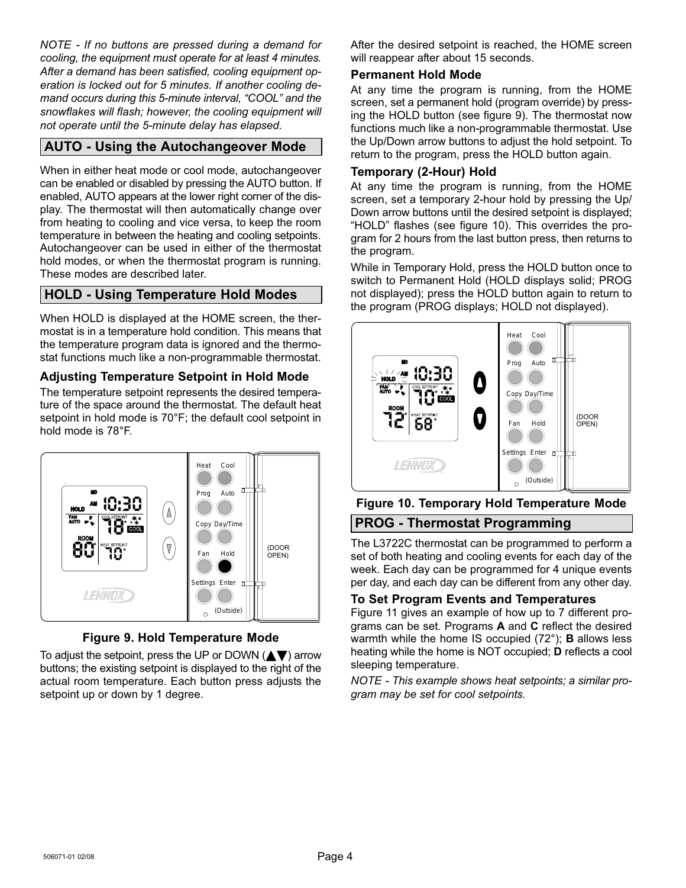<span id="page-3-0"></span>NOTE − If no buttons are pressed during a demand for cooling, the equipment must operate for at least 4 minutes. After a demand has been satisfied, cooling equipment operation is locked out for 5 minutes. If another cooling demand occurs during this 5-minute interval, "COOL" and the snowflakes will flash; however, the cooling equipment will not operate until the 5−minute delay has elapsed.

### AUTO − Using the Autochangeover Mode

When in either heat mode or cool mode, autochangeover can be enabled or disabled by pressing the AUTO button. If enabled, AUTO appears at the lower right corner of the display. The thermostat will then automatically change over from heating to cooling and vice versa, to keep the room temperature in between the heating and cooling setpoints. Autochangeover can be used in either of the thermostat hold modes, or when the thermostat program is running. These modes are described later.

#### HOLD − Using Temperature Hold Modes

When HOLD is displayed at the HOME screen, the thermostat is in a temperature hold condition. This means that the temperature program data is ignored and the thermostat functions much like a non−programmable thermostat.

#### Adjusting Temperature Setpoint in Hold Mode

The temperature setpoint represents the desired temperature of the space around the thermostat. The default heat setpoint in hold mode is 70°F; the default cool setpoint in hold mode is 78°F.



Figure 9. Hold Temperature Mode

To adjust the setpoint, press the UP or DOWN ( $\blacktriangle$   $\blacktriangledown$ ) arrow buttons; the existing setpoint is displayed to the right of the actual room temperature. Each button press adjusts the setpoint up or down by 1 degree.

After the desired setpoint is reached, the HOME screen will reappear after about 15 seconds.

#### Permanent Hold Mode

At any time the program is running, from the HOME screen, set a permanent hold (program override) by pressing the HOLD button (see figure 9). The thermostat now functions much like a non−programmable thermostat. Use the Up/Down arrow buttons to adjust the hold setpoint. To return to the program, press the HOLD button again.

#### Temporary (2-Hour) Hold

At any time the program is running, from the HOME screen, set a temporary 2-hour hold by pressing the Up/ Down arrow buttons until the desired setpoint is displayed; HOLD" flashes (see figure 10). This overrides the program for 2 hours from the last button press, then returns to the program.

While in Temporary Hold, press the HOLD button once to switch to Permanent Hold (HOLD displays solid; PROG not displayed); press the HOLD button again to return to the program (PROG displays; HOLD not displayed).



#### Figure 10. Temporary Hold Temperature Mode

## PROG − Thermostat Programming

The L3722C thermostat can be programmed to perform a set of both heating and cooling events for each day of the week. Each day can be programmed for 4 unique events per day, and each day can be different from any other day.

#### To Set Program Events and Temperatures

Figure [11](#page-4-0) gives an example of how up to 7 different programs can be set. Programs A and C reflect the desired warmth while the home IS occupied (72°); B allows less heating while the home is NOT occupied; D reflects a cool sleeping temperature.

NOTE − This example shows heat setpoints; a similar program may be set for cool setpoints.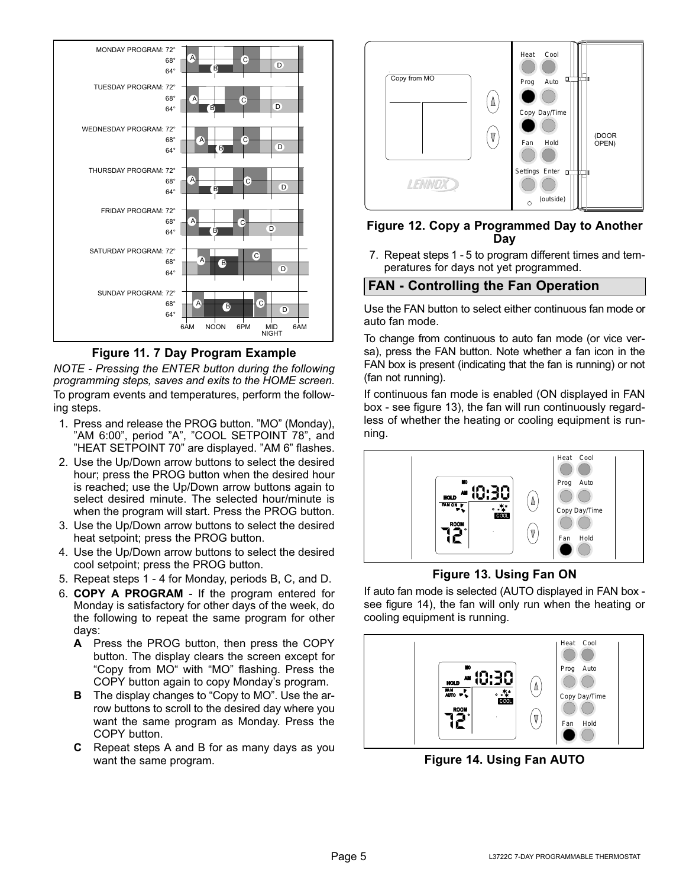<span id="page-4-0"></span>

Figure 11. 7 Day Program Example

NOTE − Pressing the ENTER button during the following programming steps, saves and exits to the HOME screen. To program events and temperatures, perform the following steps.

- 1. Press and release the PROG button. "MO" (Monday), "AM 6:00", period "A", "COOL SETPOINT 78", and "HEAT SETPOINT 70" are displayed. "AM 6" flashes.
- 2. Use the Up/Down arrow buttons to select the desired hour; press the PROG button when the desired hour is reached; use the Up/Down arrow buttons again to select desired minute. The selected hour/minute is when the program will start. Press the PROG button.
- 3. Use the Up/Down arrow buttons to select the desired heat setpoint; press the PROG button.
- 4. Use the Up/Down arrow buttons to select the desired cool setpoint; press the PROG button.
- 5. Repeat steps 1 − 4 for Monday, periods B, C, and D.
- 6. COPY A PROGRAM − If the program entered for Monday is satisfactory for other days of the week, do the following to repeat the same program for other days:
	- A Press the PROG button, then press the COPY button. The display clears the screen except for "Copy from MO" with "MO" flashing. Press the COPY button again to copy Monday's program.
	- **B** The display changes to "Copy to MO". Use the arrow buttons to scroll to the desired day where you want the same program as Monday. Press the COPY button.
	- C Repeat steps A and B for as many days as you want the same program.



#### Figure 12. Copy a Programmed Day to Another **Day**

7. Repeat steps 1 − 5 to program different times and temperatures for days not yet programmed.

## FAN − Controlling the Fan Operation

Use the FAN button to select either continuous fan mode or auto fan mode.

To change from continuous to auto fan mode (or vice versa), press the FAN button. Note whether a fan icon in the FAN box is present (indicating that the fan is running) or not (fan not running).

If continuous fan mode is enabled (ON displayed in FAN box − see figure 13), the fan will run continuously regardless of whether the heating or cooling equipment is running.



#### Figure 13. Using Fan ON

If auto fan mode is selected (AUTO displayed in FAN box − see figure 14), the fan will only run when the heating or cooling equipment is running.



Figure 14. Using Fan AUTO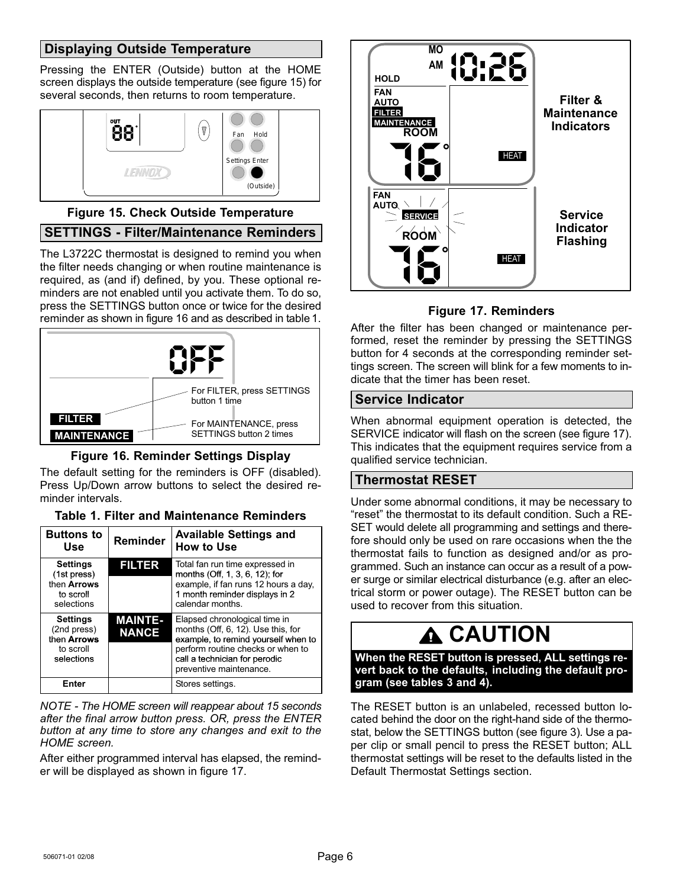## <span id="page-5-0"></span>Displaying Outside Temperature

Pressing the ENTER (Outside) button at the HOME screen displays the outside temperature (see figure 15) for several seconds, then returns to room temperature.



## Figure 15. Check Outside Temperature

#### SETTINGS − Filter/Maintenance Reminders

The L3722C thermostat is designed to remind you when the filter needs changing or when routine maintenance is required, as (and if) defined, by you. These optional reminders are not enabled until you activate them. To do so, press the SETTINGS button once or twice for the desired reminder as shown in figure 16 and as described in table 1.



#### Figure 16. Reminder Settings Display

The default setting for the reminders is OFF (disabled). Press Up/Down arrow buttons to select the desired reminder intervals.

|  |  |  | <b>Table 1. Filter and Maintenance Reminders</b> |  |
|--|--|--|--------------------------------------------------|--|
|--|--|--|--------------------------------------------------|--|

| <b>Buttons to</b><br>Use                                                 | <b>Reminder</b>                | <b>Available Settings and</b><br><b>How to Use</b>                                                                                                                                                          |
|--------------------------------------------------------------------------|--------------------------------|-------------------------------------------------------------------------------------------------------------------------------------------------------------------------------------------------------------|
| <b>Settings</b><br>(1st press)<br>then Arrows<br>to scroll<br>selections | <b>FILTER</b>                  | Total fan run time expressed in<br>months (Off, 1, 3, 6, 12); for<br>example, if fan runs 12 hours a day,<br>1 month reminder displays in 2<br>calendar months.                                             |
| Settings<br>(2nd press)<br>then Arrows<br>to scroll<br>selections        | <b>MAINTE-</b><br><b>NANCE</b> | Elapsed chronological time in<br>months (Off, 6, 12). Use this, for<br>example, to remind yourself when to<br>perform routine checks or when to<br>call a technician for perodic<br>preventive maintenance. |
| Enter                                                                    |                                | Stores settings.                                                                                                                                                                                            |

NOTE − The HOME screen will reappear about 15 seconds after the final arrow button press. OR, press the ENTER button at any time to store any changes and exit to the HOME screen.

After either programmed interval has elapsed, the reminder will be displayed as shown in figure 17.



## Figure 17. Reminders

After the filter has been changed or maintenance performed, reset the reminder by pressing the SETTINGS button for 4 seconds at the corresponding reminder settings screen. The screen will blink for a few moments to indicate that the timer has been reset.

#### Service Indicator

When abnormal equipment operation is detected, the SERVICE indicator will flash on the screen (see figure 17). This indicates that the equipment requires service from a qualified service technician.

#### Thermostat RESET

Under some abnormal conditions, it may be necessary to reset" the thermostat to its default condition. Such a RE-SET would delete all programming and settings and therefore should only be used on rare occasions when the the thermostat fails to function as designed and/or as programmed. Such an instance can occur as a result of a power surge or similar electrical disturbance (e.g. after an electrical storm or power outage). The RESET button can be used to recover from this situation.

# **A CAUTION**

When the RESET button is pressed, ALL settings revert back to the defaults, including the default program (see tables [3](#page-6-0) and [4\)](#page-6-0).

The RESET button is an unlabeled, recessed button located behind the door on the right−hand side of the thermostat, below the SETTINGS button (see figure [3\)](#page-1-0). Use a paper clip or small pencil to press the RESET button; ALL thermostat settings will be reset to the defaults listed in the Default Thermostat Settings section.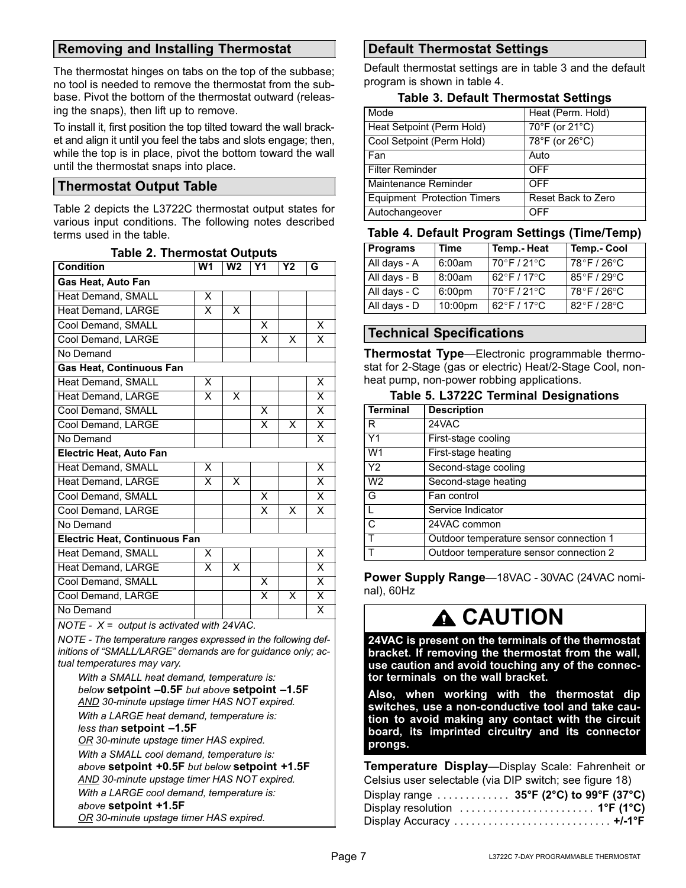## <span id="page-6-0"></span>Removing and Installing Thermostat

The thermostat hinges on tabs on the top of the subbase; no tool is needed to remove the thermostat from the subbase. Pivot the bottom of the thermostat outward (releasing the snaps), then lift up to remove.

To install it, first position the top tilted toward the wall bracket and align it until you feel the tabs and slots engage; then, while the top is in place, pivot the bottom toward the wall until the thermostat snaps into place.

### Thermostat Output Table

Table 2 depicts the L3722C thermostat output states for various input conditions. The following notes described terms used in the table.

| <b>Condition</b>                     | W <sub>1</sub> | W <sub>2</sub> | Υ1 | <b>Y2</b> | G |
|--------------------------------------|----------------|----------------|----|-----------|---|
| Gas Heat, Auto Fan                   |                |                |    |           |   |
| Heat Demand, SMALL                   | X              |                |    |           |   |
| Heat Demand, LARGE                   | X              | X              |    |           |   |
| Cool Demand, SMALL                   |                |                | X  |           | X |
| Cool Demand, LARGE                   |                |                | X  | X         | X |
| No Demand                            |                |                |    |           |   |
| <b>Gas Heat, Continuous Fan</b>      |                |                |    |           |   |
| Heat Demand, SMALL                   | X              |                |    |           | X |
| Heat Demand, LARGE                   | X              | X              |    |           | X |
| Cool Demand, SMALL                   |                |                | x  |           | X |
| Cool Demand, LARGE                   |                |                | x  | X         | X |
| No Demand                            |                |                |    |           | X |
| <b>Electric Heat, Auto Fan</b>       |                |                |    |           |   |
| <b>Heat Demand, SMALL</b>            | X              |                |    |           | X |
| Heat Demand, LARGE                   | X              | X              |    |           | X |
| Cool Demand, SMALL                   |                |                | X  |           | X |
| Cool Demand, LARGE                   |                |                | x  | X         | X |
| No Demand                            |                |                |    |           |   |
| <b>Electric Heat, Continuous Fan</b> |                |                |    |           |   |
| Heat Demand, SMALL                   | X              |                |    |           | X |
| Heat Demand, LARGE                   | X              | X              |    |           | X |
| Cool Demand, SMALL                   |                |                | X  |           | X |
| Cool Demand, LARGE                   |                |                | X  | х         | X |
| No Demand                            |                |                |    |           | X |
|                                      |                |                |    |           |   |

#### Table 2. Thermostat Outputs

NOTE -  $X =$  output is activated with 24VAC.

NOTE − The temperature ranges expressed in the following definitions of "SMALL/LARGE" demands are for guidance only; actual temperatures may vary.

With a SMALL heat demand, temperature is: below setpoint -0.5F but above setpoint -1.5F AND 30-minute upstage timer HAS NOT expired. With a LARGE heat demand, temperature is: less than setpoint -1.5F OR 30-minute upstage timer HAS expired. With a SMALL cool demand, temperature is: above setpoint +0.5F but below setpoint +1.5F AND 30-minute upstage timer HAS NOT expired. With a LARGE cool demand, temperature is: above setpoint +1.5F OR 30-minute upstage timer HAS expired.

## Default Thermostat Settings

Default thermostat settings are in table 3 and the default program is shown in table 4.

#### Table 3. Default Thermostat Settings

| Mode                               | Heat (Perm. Hold)  |
|------------------------------------|--------------------|
| Heat Setpoint (Perm Hold)          | 70°F (or 21°C)     |
| Cool Setpoint (Perm Hold)          | 78°F (or 26°C)     |
| Fan                                | Auto               |
| <b>Filter Reminder</b>             | OFF                |
| Maintenance Reminder               | OFF                |
| <b>Equipment Protection Timers</b> | Reset Back to Zero |
| Autochangeover                     | OFF                |

#### Table 4. Default Program Settings (Time/Temp)

| <b>Programs</b> | Time               | <b>Temp.- Heat</b>                      | <b>Temp.- Cool</b> |
|-----------------|--------------------|-----------------------------------------|--------------------|
| All days - A    | 6:00am             | $\overline{70^\circ F}$ / 21 $^\circ$ C | 78°F / 26°C        |
| All days - B    | 8:00am             | $62^{\circ}$ F / 17 $^{\circ}$ C        | 85°F / 29°C        |
| All days - C    | 6:00 <sub>pm</sub> | 70°F / 21°C                             | 78°F / 26°C        |
| All days - D    | 10:00pm            | $62^{\circ}$ F / 17 $^{\circ}$ C        | 82°F / 28°C        |

## Technical Specifications

Thermostat Type-Electronic programmable thermostat for 2−Stage (gas or electric) Heat/2-Stage Cool, non− heat pump, non−power robbing applications.

|  | Table 5. L3722C Terminal Designations |
|--|---------------------------------------|
|  |                                       |

| <b>Terminal</b> | <b>Description</b>                      |
|-----------------|-----------------------------------------|
| R               | 24VAC                                   |
| Y1              | First-stage cooling                     |
| W <sub>1</sub>  | First-stage heating                     |
| Y2              | Second-stage cooling                    |
| W <sub>2</sub>  | Second-stage heating                    |
| G               | Fan control                             |
|                 | Service Indicator                       |
| C               | 24VAC common                            |
| т               | Outdoor temperature sensor connection 1 |
|                 | Outdoor temperature sensor connection 2 |

Power Supply Range-18VAC - 30VAC (24VAC nominal), 60Hz

# **A CAUTION**

24VAC is present on the terminals of the thermostat bracket. If removing the thermostat from the wall, use caution and avoid touching any of the connector terminals on the wall bracket.

Also, when working with the thermostat dip switches, use a non−conductive tool and take caution to avoid making any contact with the circuit board, its imprinted circuitry and its connector prongs.

Temperature Display-Display Scale: Fahrenheit or Celsius user selectable (via DIP switch; see figure [18](#page-7-0))

| Display range $\ldots \ldots \ldots 35^{\circ}F(2^{\circ}C)$ to 99°F (37°C)     |  |
|---------------------------------------------------------------------------------|--|
| Display resolution $\ldots \ldots \ldots \ldots \ldots \ldots \ldots$ 1°F (1°C) |  |
|                                                                                 |  |